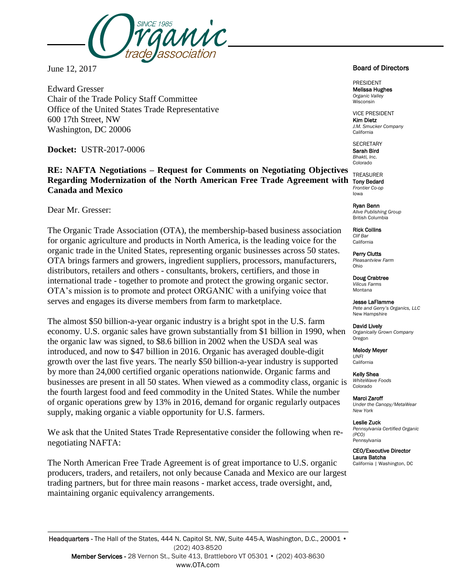

June 12, 2017

Edward Gresser Chair of the Trade Policy Staff Committee Office of the United States Trade Representative 600 17th Street, NW Washington, DC 20006

**Docket:** USTR-2017-0006

**RE: NAFTA Negotiations – Request for Comments on Negotiating Objectives Regarding Modernization of the North American Free Trade Agreement with Canada and Mexico**

Dear Mr. Gresser:

The Organic Trade Association (OTA), the membership-based business association for organic agriculture and products in North America, is the leading voice for the organic trade in the United States, representing organic businesses across 50 states. OTA brings farmers and growers, ingredient suppliers, processors, manufacturers, distributors, retailers and others - consultants, brokers, certifiers, and those in international trade - together to promote and protect the growing organic sector. OTA's mission is to promote and protect ORGANIC with a unifying voice that serves and engages its diverse members from farm to marketplace.

The almost \$50 billion-a-year organic industry is a bright spot in the U.S. farm economy. U.S. organic sales have grown substantially from \$1 billion in 1990, when the organic law was signed, to \$8.6 billion in 2002 when the USDA seal was introduced, and now to \$47 billion in 2016. Organic has averaged double-digit growth over the last five years. The nearly \$50 billion-a-year industry is supported by more than 24,000 certified organic operations nationwide. Organic farms and businesses are present in all 50 states. When viewed as a commodity class, organic is the fourth largest food and feed commodity in the United States. While the number of organic operations grew by 13% in 2016, demand for organic regularly outpaces supply, making organic a viable opportunity for U.S. farmers.

We ask that the United States Trade Representative consider the following when renegotiating NAFTA:

The North American Free Trade Agreement is of great importance to U.S. organic producers, traders, and retailers, not only because Canada and Mexico are our largest trading partners, but for three main reasons - market access, trade oversight, and, maintaining organic equivalency arrangements.

## Board of Directors

PRESIDENT Melissa Hughes *Organic Valley* Wisconsin

VICE PRESIDENT Kim Dietz *J.M. Smucker Company* California

**SECRETARY** Sarah Bird *Bhakti, Inc.* Colorado

TREASURER Tony Bedard *Frontier Co-op* Iowa

> Ryan Benn *Alive Publishing Group* British Columbia

Rick Collins *Clif Bar* California

Perry Clutts *Pleasantview Farm* Ohio

Doug Crabtree *Vilicus Farms* Montana

Jesse LaFlamme *Pete and Gerry's Organics, LLC* New Hampshire

David Lively *Organically Grown Company* Oregon

Melody Meyer *UNFI*

California

Kelly Shea *WhiteWave Foods* Colorado

Marci Zaroff *Under the Canopy/MetaWear New York*

Leslie Zuck *Pennsylvania Certified Organic (PCO)* Pennsylvania

 CEO/Executive Director Laura Batcha California | Washington, DC

Headquarters - The Hall of the States, 444 N. Capitol St. NW, Suite 445-A, Washington, D.C., 20001 • (202) 403-8520 Member Services - 28 Vernon St., Suite 413, Brattleboro VT 05301 • (202) 403-8630 www.OTA.com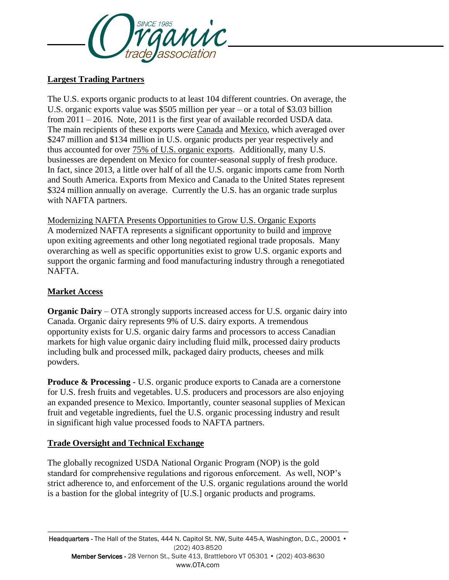

# **Largest Trading Partners**

The U.S. exports organic products to at least 104 different countries. On average, the U.S. organic exports value was \$505 million per year – or a total of \$3.03 billion from 2011 – 2016. Note, 2011 is the first year of available recorded USDA data. The main recipients of these exports were Canada and Mexico, which averaged over \$247 million and \$134 million in U.S. organic products per year respectively and thus accounted for over 75% of U.S. organic exports. Additionally, many U.S. businesses are dependent on Mexico for counter-seasonal supply of fresh produce. In fact, since 2013, a little over half of all the U.S. organic imports came from North and South America. Exports from Mexico and Canada to the United States represent \$324 million annually on average. Currently the U.S. has an organic trade surplus with NAFTA partners.

Modernizing NAFTA Presents Opportunities to Grow U.S. Organic Exports A modernized NAFTA represents a significant opportunity to build and improve upon exiting agreements and other long negotiated regional trade proposals. Many overarching as well as specific opportunities exist to grow U.S. organic exports and support the organic farming and food manufacturing industry through a renegotiated NAFTA.

# **Market Access**

**Organic Dairy** – OTA strongly supports increased access for U.S. organic dairy into Canada. Organic dairy represents 9% of U.S. dairy exports. A tremendous opportunity exists for U.S. organic dairy farms and processors to access Canadian markets for high value organic dairy including fluid milk, processed dairy products including bulk and processed milk, packaged dairy products, cheeses and milk powders.

**Produce & Processing -** U.S. organic produce exports to Canada are a cornerstone for U.S. fresh fruits and vegetables. U.S. producers and processors are also enjoying an expanded presence to Mexico. Importantly, counter seasonal supplies of Mexican fruit and vegetable ingredients, fuel the U.S. organic processing industry and result in significant high value processed foods to NAFTA partners.

# **Trade Oversight and Technical Exchange**

The globally recognized USDA National Organic Program (NOP) is the gold standard for comprehensive regulations and rigorous enforcement. As well, NOP's strict adherence to, and enforcement of the U.S. organic regulations around the world is a bastion for the global integrity of [U.S.] organic products and programs.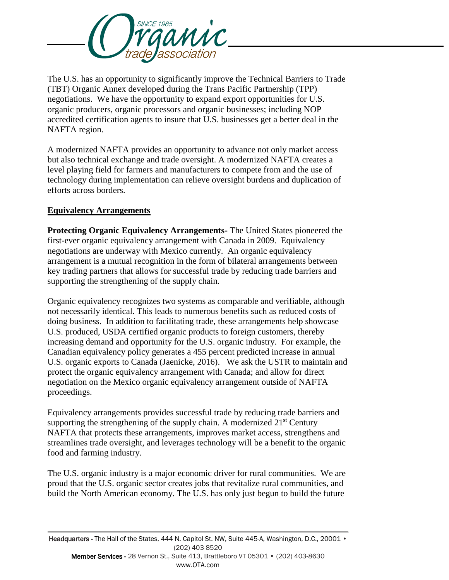

The U.S. has an opportunity to significantly improve the Technical Barriers to Trade (TBT) Organic Annex developed during the Trans Pacific Partnership (TPP) negotiations. We have the opportunity to expand export opportunities for U.S. organic producers, organic processors and organic businesses; including NOP accredited certification agents to insure that U.S. businesses get a better deal in the NAFTA region.

A modernized NAFTA provides an opportunity to advance not only market access but also technical exchange and trade oversight. A modernized NAFTA creates a level playing field for farmers and manufacturers to compete from and the use of technology during implementation can relieve oversight burdens and duplication of efforts across borders.

# **Equivalency Arrangements**

**Protecting Organic Equivalency Arrangements-** The United States pioneered the first-ever organic equivalency arrangement with Canada in 2009. Equivalency negotiations are underway with Mexico currently. An organic equivalency arrangement is a mutual recognition in the form of bilateral arrangements between key trading partners that allows for successful trade by reducing trade barriers and supporting the strengthening of the supply chain.

Organic equivalency recognizes two systems as comparable and verifiable, although not necessarily identical. This leads to numerous benefits such as reduced costs of doing business. In addition to facilitating trade, these arrangements help showcase U.S. produced, USDA certified organic products to foreign customers, thereby increasing demand and opportunity for the U.S. organic industry. For example, the Canadian equivalency policy generates a 455 percent predicted increase in annual U.S. organic exports to Canada (Jaenicke, 2016). We ask the USTR to maintain and protect the organic equivalency arrangement with Canada; and allow for direct negotiation on the Mexico organic equivalency arrangement outside of NAFTA proceedings.

Equivalency arrangements provides successful trade by reducing trade barriers and supporting the strengthening of the supply chain. A modernized  $21<sup>st</sup>$  Century NAFTA that protects these arrangements, improves market access, strengthens and streamlines trade oversight, and leverages technology will be a benefit to the organic food and farming industry.

The U.S. organic industry is a major economic driver for rural communities. We are proud that the U.S. organic sector creates jobs that revitalize rural communities, and build the North American economy. The U.S. has only just begun to build the future

Headquarters - The Hall of the States, 444 N. Capitol St. NW, Suite 445-A, Washington, D.C., 20001 • (202) 403-8520 Member Services - 28 Vernon St., Suite 413, Brattleboro VT 05301 • (202) 403-8630 www.OTA.com